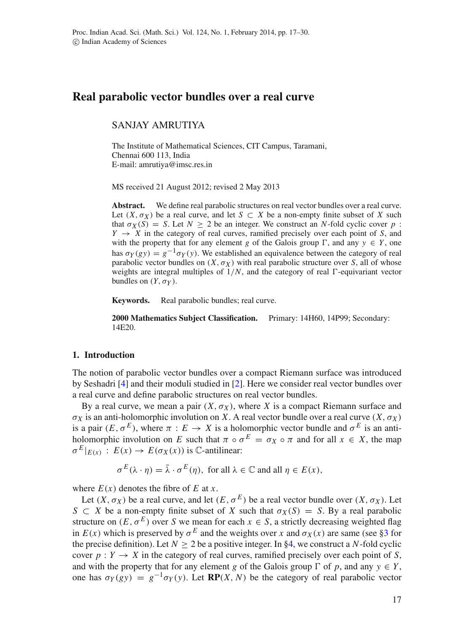# **Real parabolic vector bundles over a real curve**

# SANJAY AMRUTIYA

The Institute of Mathematical Sciences, CIT Campus, Taramani, Chennai 600 113, India E-mail: amrutiya@imsc.res.in

MS received 21 August 2012; revised 2 May 2013

Abstract. We define real parabolic structures on real vector bundles over a real curve. Let  $(X, \sigma_X)$  be a real curve, and let  $S \subset X$  be a non-empty finite subset of X such that  $\sigma_X(S) = S$ . Let  $N > 2$  be an integer. We construct an *N*-fold cyclic cover *p* :  $Y \rightarrow X$  in the category of real curves, ramified precisely over each point of *S*, and with the property that for any element *g* of the Galois group  $\Gamma$ , and any  $y \in Y$ , one has  $\sigma_Y(gy) = g^{-1}\sigma_Y(y)$ . We established an equivalence between the category of real parabolic vector bundles on  $(X, \sigma_X)$  with real parabolic structure over *S*, all of whose weights are integral multiples of  $1/N$ , and the category of real  $\Gamma$ -equivariant vector bundles on  $(Y, \sigma_Y)$ .

**Keywords.** Real parabolic bundles; real curve.

**2000 Mathematics Subject Classification.** Primary: 14H60, 14P99; Secondary: 14E20.

# **1. Introduction**

The notion of parabolic vector bundles over a compact Riemann surface was introduced by Seshadri [\[4](#page-13-0)] and their moduli studied in [\[2\]](#page-12-0). Here we consider real vector bundles over a real curve and define parabolic structures on real vector bundles.

By a real curve, we mean a pair  $(X, \sigma_X)$ , where X is a compact Riemann surface and σ*<sup>X</sup>* is an anti-holomorphic involution on *X*. A real vector bundle over a real curve (*X*,σ*<sup>X</sup>* ) is a pair  $(E, \sigma^E)$ , where  $\pi : E \to X$  is a holomorphic vector bundle and  $\sigma^E$  is an antiholomorphic involution on *E* such that  $\pi \circ \sigma^E = \sigma_X \circ \pi$  and for all  $x \in X$ , the map  $\sigma^{E}|_{E(x)}$  :  $E(x) \rightarrow E(\sigma_{X}(x))$  is C-antilinear:

$$
\sigma^{E}(\lambda \cdot \eta) = \bar{\lambda} \cdot \sigma^{E}(\eta), \text{ for all } \lambda \in \mathbb{C} \text{ and all } \eta \in E(x),
$$

where  $E(x)$  denotes the fibre of  $E$  at  $x$ .

Let  $(X, \sigma_X)$  be a real curve, and let  $(E, \sigma^E)$  be a real vector bundle over  $(X, \sigma_X)$ . Let *S*  $\subset$  *X* be a non-empty finite subset of *X* such that  $\sigma_X(S) = S$ . By a real parabolic structure on  $(E, \sigma^E)$  over *S* we mean for each  $x \in S$ , a strictly decreasing weighted flag in  $E(x)$  which is preserved by  $\sigma^E$  and the weights over *x* and  $\sigma_X(x)$  are same (see [§3](#page-3-0) for the precise definition). Let  $N > 2$  be a positive integer. In [§4,](#page-5-0) we construct a *N*-fold cyclic cover  $p: Y \to X$  in the category of real curves, ramified precisely over each point of *S*, and with the property that for any element *g* of the Galois group  $\Gamma$  of *p*, and any  $y \in Y$ , one has  $\sigma_Y(gy) = g^{-1}\sigma_Y(y)$ . Let **RP**(*X*, *N*) be the category of real parabolic vector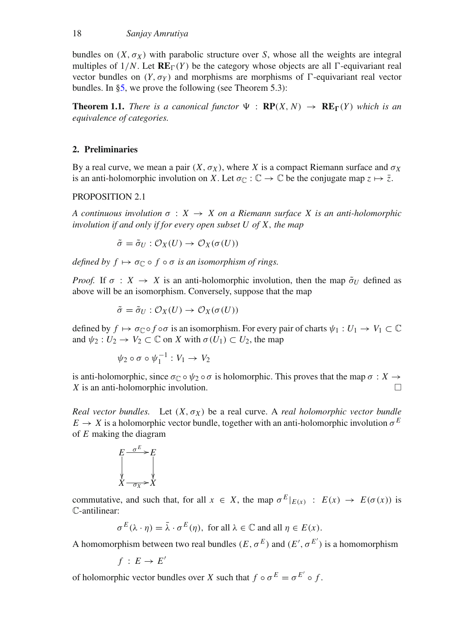bundles on  $(X, \sigma_X)$  with parabolic structure over *S*, whose all the weights are integral multiples of  $1/N$ . Let  $\mathbf{RE}_{\Gamma}(Y)$  be the category whose objects are all  $\Gamma$ -equivariant real vector bundles on  $(Y, \sigma_Y)$  and morphisms are morphisms of  $\Gamma$ -equivariant real vector bundles. In [§5,](#page-8-0) we prove the following (see Theorem 5.3):

**Theorem 1.1.** *There is a canonical functor*  $\Psi$  :  $\mathbf{RP}(X, N) \rightarrow \mathbf{RE}_{\Gamma}(Y)$  *which is an equivalence of categories.*

## **2. Preliminaries**

By a real curve, we mean a pair  $(X, \sigma_X)$ , where X is a compact Riemann surface and  $\sigma_X$ is an anti-holomorphic involution on *X*. Let  $\sigma_{\Gamma}: \mathbb{C} \to \mathbb{C}$  be the conjugate map  $z \mapsto \overline{z}$ .

# PROPOSITION 2.1

*A continuous involution*  $\sigma : X \to X$  *on a Riemann surface X is an anti-holomorphic involution if and only if for every open subset U of X*, *the map*

$$
\tilde{\sigma} = \tilde{\sigma}_U : \mathcal{O}_X(U) \to \mathcal{O}_X(\sigma(U))
$$

*defined by*  $f \mapsto \sigma_{\mathbb{C}} \circ f \circ \sigma$  *is an isomorphism of rings.* 

*Proof.* If  $\sigma : X \to X$  is an anti-holomorphic involution, then the map  $\tilde{\sigma}_{U}$  defined as above will be an isomorphism. Conversely, suppose that the map

$$
\tilde{\sigma} = \tilde{\sigma}_U : \mathcal{O}_X(U) \to \mathcal{O}_X(\sigma(U))
$$

defined by  $f \mapsto \sigma_{\mathbb{C}} \circ f \circ \sigma$  is an isomorphism. For every pair of charts  $\psi_1 : U_1 \to V_1 \subset \mathbb{C}$ and  $\psi_2: U_2 \to V_2 \subset \mathbb{C}$  on *X* with  $\sigma(U_1) \subset U_2$ , the map

$$
\psi_2 \circ \sigma \circ \psi_1^{-1}: V_1 \to V_2
$$

is anti-holomorphic, since  $\sigma_{\mathbb{C}} \circ \psi_2 \circ \sigma$  is holomorphic. This proves that the map  $\sigma : X \to X$  is an anti-holomorphic involution  $X$  is an anti-holomorphic involution.

*Real vector bundles.* Let  $(X, \sigma_X)$  be a real curve. A *real holomorphic vector bundle*  $E \to X$  is a holomorphic vector bundle, together with an anti-holomorphic involution  $\sigma^E$ of *E* making the diagram

$$
E \xrightarrow{\sigma^E} E
$$
  
\n
$$
X \xrightarrow{\sigma_X} X
$$

commutative, and such that, for all  $x \in X$ , the map  $\sigma^E|_{E(x)}$ :  $E(x) \to E(\sigma(x))$  is C-antilinear:

 $\sigma^{E}(\lambda \cdot \eta) = \overline{\lambda} \cdot \sigma^{E}(\eta)$ , for all  $\lambda \in \mathbb{C}$  and all  $\eta \in E(x)$ .

A homomorphism between two real bundles  $(E, \sigma^E)$  and  $(E', \sigma^{E'})$  is a homomorphism

$$
f\,:\,E\rightarrow E'
$$

of holomorphic vector bundles over *X* such that  $f \circ \sigma^E = \sigma^{E'} \circ f$ .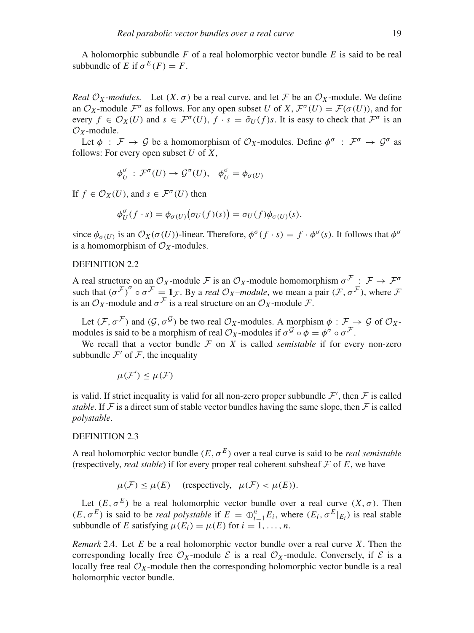A holomorphic subbundle *F* of a real holomorphic vector bundle *E* is said to be real subbundle of *E* if  $\sigma^{E}(F) = F$ .

*Real*  $\mathcal{O}_X$ -modules. Let  $(X, \sigma)$  be a real curve, and let F be an  $\mathcal{O}_X$ -module. We define an  $\mathcal{O}_X$ -module  $\mathcal{F}^{\sigma}$  as follows. For any open subset *U* of *X*,  $\mathcal{F}^{\sigma}(U) = \mathcal{F}(\sigma(U))$ , and for every  $f \in \mathcal{O}_X(U)$  and  $s \in \mathcal{F}^{\sigma}(U)$ ,  $f \cdot s = \tilde{\sigma}_U(f) s$ . It is easy to check that  $\mathcal{F}^{\sigma}$  is an  $\mathcal{O}_Y$ -module.

Let  $\phi$ :  $\mathcal{F} \to \mathcal{G}$  be a homomorphism of  $\mathcal{O}_X$ -modules. Define  $\phi^{\sigma}$ :  $\mathcal{F}^{\sigma} \to \mathcal{G}^{\sigma}$  as follows: For every open subset *U* of *X*,

$$
\phi_U^{\sigma} : \mathcal{F}^{\sigma}(U) \to \mathcal{G}^{\sigma}(U), \quad \phi_U^{\sigma} = \phi_{\sigma}(U)
$$

If  $f \in \mathcal{O}_X(U)$ , and  $s \in \mathcal{F}^{\sigma}(U)$  then

$$
\phi_U^{\sigma}(f \cdot s) = \phi_{\sigma(U)}(\sigma_U(f)(s)) = \sigma_U(f)\phi_{\sigma(U)}(s),
$$

since  $\phi_{\sigma(U)}$  is an  $\mathcal{O}_X(\sigma(U))$ -linear. Therefore,  $\phi^{\sigma}(f \cdot s) = f \cdot \phi^{\sigma}(s)$ . It follows that  $\phi^{\sigma}$ is a homomorphism of  $\mathcal{O}_X$ -modules.

# DEFINITION 2.2

A real structure on an  $\mathcal{O}_X$ -module  $\mathcal F$  is an  $\mathcal{O}_X$ -module homomorphism  $\sigma^{\mathcal F}$  :  $\mathcal F \to \mathcal F^\sigma$ such that  $(\sigma^{\mathcal{F}})^{\sigma} \circ \sigma^{\mathcal{F}} = 1_{\mathcal{F}}$ . By a *real*  $\mathcal{O}_X$ *–module*, we mean a pair  $(\mathcal{F}, \sigma^{\mathcal{F}})$ , where  $\mathcal{F}$ is an  $\mathcal{O}_X$ -module and  $\sigma^{\mathcal{F}}$  is a real structure on an  $\mathcal{O}_X$ -module  $\mathcal{F}$ .

Let  $(\mathcal{F}, \sigma^{\mathcal{F}})$  and  $(\mathcal{G}, \sigma^{\mathcal{G}})$  be two real  $\mathcal{O}_X$ -modules. A morphism  $\phi : \mathcal{F} \to \mathcal{G}$  of  $\mathcal{O}_X$ modules is said to be a morphism of real  $\mathcal{O}_X$ -modules if  $\sigma^{\mathcal{G}} \circ \phi = \phi^{\sigma} \circ \sigma^{\mathcal{F}}$ .

We recall that a vector bundle  $F$  on  $X$  is called *semistable* if for every non-zero subbundle  $\mathcal{F}'$  of  $\mathcal{F}$ , the inequality

$$
\mu(\mathcal{F}') \leq \mu(\mathcal{F})
$$

is valid. If strict inequality is valid for all non-zero proper subbundle  $\mathcal{F}'$ , then  $\mathcal F$  is called *stable*. If F is a direct sum of stable vector bundles having the same slope, then F is called *polystable*.

# DEFINITION 2.3

A real holomorphic vector bundle  $(E, \sigma^E)$  over a real curve is said to be *real semistable* (respectively, *real stable*) if for every proper real coherent subsheaf  $\mathcal F$  of  $E$ , we have

$$
\mu(\mathcal{F}) \le \mu(E)
$$
 (respectively,  $\mu(\mathcal{F}) < \mu(E)$ ).

Let  $(E, \sigma^E)$  be a real holomorphic vector bundle over a real curve  $(X, \sigma)$ . Then  $(E, \sigma^E)$  is said to be *real polystable* if  $E = \bigoplus_{i=1}^n E_i$ , where  $(E_i, \sigma^E|_{E_i})$  is real stable subbundle of *E* satisfying  $\mu(E_i) = \mu(E)$  for  $i = 1, \ldots, n$ .

*Remark* 2.4. Let *E* be a real holomorphic vector bundle over a real curve *X*. Then the corresponding locally free  $\mathcal{O}_X$ -module  $\mathcal{E}$  is a real  $\mathcal{O}_X$ -module. Conversely, if  $\mathcal{E}$  is a locally free real  $\mathcal{O}_X$ -module then the corresponding holomorphic vector bundle is a real holomorphic vector bundle.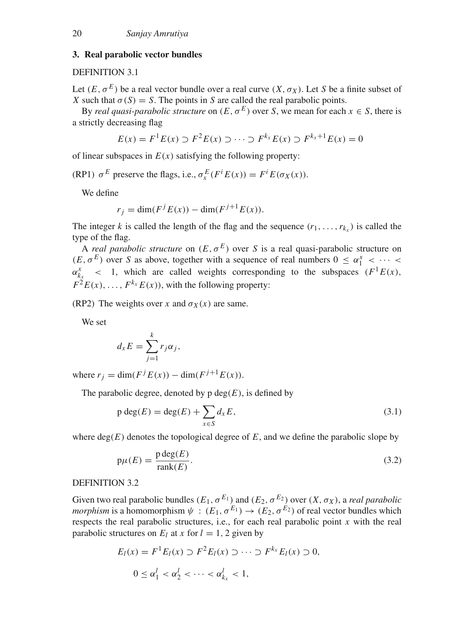# <span id="page-3-0"></span>**3. Real parabolic vector bundles**

# DEFINITION 3.1

Let  $(E, \sigma^E)$  be a real vector bundle over a real curve  $(X, \sigma_X)$ . Let *S* be a finite subset of *X* such that  $\sigma(S) = S$ . The points in *S* are called the real parabolic points.

By *real quasi-parabolic structure* on  $(E, \sigma^E)$  over *S*, we mean for each  $x \in S$ , there is a strictly decreasing flag

$$
E(x) = F^{1}E(x) \supset F^{2}E(x) \supset \cdots \supset F^{k_{x}}E(x) \supset F^{k_{x}+1}E(x) = 0
$$

of linear subspaces in  $E(x)$  satisfying the following property:

(RP1)  $\sigma^E$  preserve the flags, i.e.,  $\sigma_x^E(F^i E(x)) = F^i E(\sigma_X(x))$ .

We define

$$
r_j = \dim(F^j E(x)) - \dim(F^{j+1} E(x)).
$$

The integer *k* is called the length of the flag and the sequence  $(r_1, \ldots, r_k)$  is called the type of the flag.

A *real parabolic structure* on  $(E, \sigma^E)$  over *S* is a real quasi-parabolic structure on  $(E, \sigma^E)$  over *S* as above, together with a sequence of real numbers  $0 \leq \alpha_1^x < \cdots$  $\alpha_{k_x}^x$  < 1, which are called weights corresponding to the subspaces  $(F^1E(x))$ ,  $F^2E(x), \ldots, F^{k_x}E(x)$ , with the following property:

(RP2) The weights over *x* and  $\sigma_X(x)$  are same.

We set

$$
d_x E = \sum_{j=1}^k r_j \alpha_j,
$$

where  $r_j = \dim(F^j E(x)) - \dim(F^{j+1} E(x)).$ 

The parabolic degree, denoted by p  $deg(E)$ , is defined by

$$
p \deg(E) = \deg(E) + \sum_{x \in S} d_x E,
$$
\n(3.1)

where  $deg(E)$  denotes the topological degree of  $E$ , and we define the parabolic slope by

$$
p\mu(E) = \frac{p \deg(E)}{\text{rank}(E)}.
$$
\n(3.2)

# DEFINITION 3.2

Given two real parabolic bundles  $(E_1, \sigma^{E_1})$  and  $(E_2, \sigma^{E_2})$  over  $(X, \sigma_X)$ , a *real parabolic morphism* is a homomorphism  $\psi$ :  $(E_1, \sigma^{E_1}) \rightarrow (E_2, \sigma^{E_2})$  of real vector bundles which respects the real parabolic structures, i.e., for each real parabolic point *x* with the real parabolic structures on  $E_l$  at *x* for  $l = 1, 2$  given by

$$
E_l(x) = F^1 E_l(x) \supset F^2 E_l(x) \supset \cdots \supset F^{k_x} E_l(x) \supset 0,
$$
  

$$
0 \le \alpha_1^l < \alpha_2^l < \cdots < \alpha_{k_x}^l < 1,
$$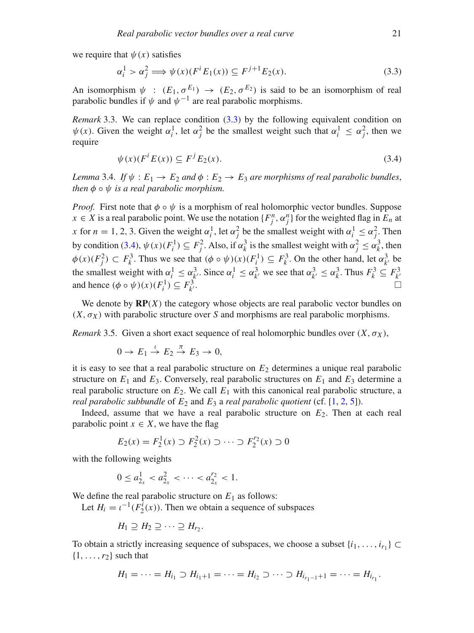we require that  $\psi(x)$  satisfies

<span id="page-4-0"></span>
$$
\alpha_i^1 > \alpha_j^2 \Longrightarrow \psi(x)(F^i E_1(x)) \subseteq F^{j+1} E_2(x). \tag{3.3}
$$

An isomorphism  $\psi$  :  $(E_1, \sigma^{E_1}) \rightarrow (E_2, \sigma^{E_2})$  is said to be an isomorphism of real parabolic bundles if  $\psi$  and  $\psi^{-1}$  are real parabolic morphisms.

*Remark* 3.3. We can replace condition [\(3.3\)](#page-4-0) by the following equivalent condition on  $\psi(x)$ . Given the weight  $\alpha_i^1$ , let  $\alpha_j^2$  be the smallest weight such that  $\alpha_i^1 \leq \alpha_j^2$ , then we require

<span id="page-4-1"></span>
$$
\psi(x)(F^i E(x)) \subseteq F^j E_2(x). \tag{3.4}
$$

*Lemma* 3.4. *If*  $\psi$  :  $E_1 \rightarrow E_2$  *and*  $\phi$  :  $E_2 \rightarrow E_3$  *are morphisms of real parabolic bundles, then*  $\phi \circ \psi$  *is a real parabolic morphism.* 

*Proof.* First note that  $\phi \circ \psi$  is a morphism of real holomorphic vector bundles. Suppose *x* ∈ *X* is a real parabolic point. We use the notation  $\{F_j^n, \alpha_j^n\}$  for the weighted flag in  $E_n$  at *x* for *n* = 1, 2, 3. Given the weight  $\alpha_i^1$ , let  $\alpha_j^2$  be the smallest weight with  $\alpha_i^1 \leq \alpha_j^2$ . Then by condition [\(3.4\)](#page-4-1),  $\psi(x)(F_i^1) \subseteq F_j^2$ . Also, if  $\alpha_k^3$  is the smallest weight with  $\alpha_j^2 \le \alpha_k^3$ , then  $\phi(x)(F_j^2) \subset F_k^3$ . Thus we see that  $(\phi \circ \psi)(x)(F_i^1) \subseteq F_k^3$ . On the other hand, let  $\alpha_{k'}^3$  be the smallest weight with  $\alpha_i^1 \leq \alpha_{k'}^3$ . Since  $\alpha_i^1 \leq \alpha_{k'}^3$  we see that  $\alpha_{k'}^3 \leq \alpha_k^3$ . Thus  $F_k^3 \subseteq F_{k'}^3$ and hence  $(\phi \circ \psi)(x)$  $(F_i^1) \subseteq F_{k'}^3$  $\frac{1}{k}$ 

We denote by  $\mathbf{RP}(X)$  the category whose objects are real parabolic vector bundles on  $(X, \sigma_X)$  with parabolic structure over *S* and morphisms are real parabolic morphisms.

*Remark* 3.5. Given a short exact sequence of real holomorphic bundles over  $(X, \sigma_X)$ ,

$$
0 \to E_1 \stackrel{\iota}{\to} E_2 \stackrel{\pi}{\to} E_3 \to 0,
$$

it is easy to see that a real parabolic structure on  $E<sub>2</sub>$  determines a unique real parabolic structure on  $E_1$  and  $E_3$ . Conversely, real parabolic structures on  $E_1$  and  $E_3$  determine a real parabolic structure on  $E_2$ . We call  $E_1$  with this canonical real parabolic structure, a *real parabolic subbundle* of  $E_2$  and  $E_3$  a *real parabolic quotient* (cf. [\[1,](#page-12-1) [2,](#page-12-0) [5\]](#page-13-1)).

Indeed, assume that we have a real parabolic structure on  $E_2$ . Then at each real parabolic point  $x \in X$ , we have the flag

$$
E_2(x) = F_2^1(x) \supset F_2^2(x) \supset \cdots \supset F_2^{r_2}(x) \supset 0
$$

with the following weights

$$
0 \le a_{2_x}^1 < a_{2_x}^2 < \cdots < a_{2_x}^{r_2} < 1.
$$

We define the real parabolic structure on  $E_1$  as follows:

Let  $H_i = i^{-1}(F_2^i(x))$ . Then we obtain a sequence of subspaces

$$
H_1 \supseteq H_2 \supseteq \cdots \supseteq H_{r_2}.
$$

To obtain a strictly increasing sequence of subspaces, we choose a subset  $\{i_1, \ldots, i_{r_1}\} \subset$  $\{1,\ldots,r_2\}$  such that

$$
H_1 = \cdots = H_{i_1} \supset H_{i_1+1} = \cdots = H_{i_2} \supset \cdots \supset H_{i_{r_1-1}+1} = \cdots = H_{i_{r_1}}.
$$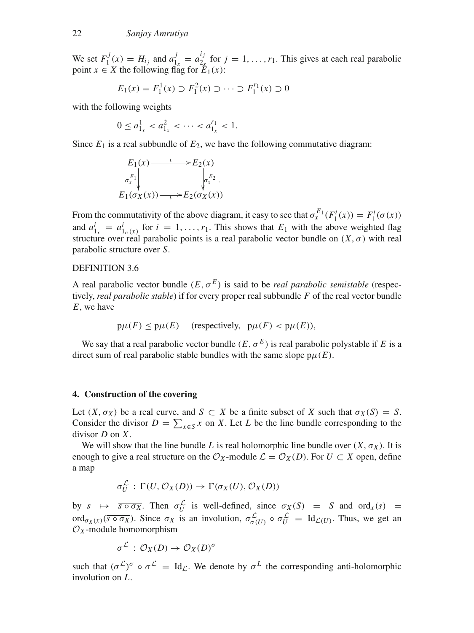We set  $F_1^j(x) = H_{ij}$  and  $a_1^j = a_2^{ij}$  for  $j = 1, ..., r_1$ . This gives at each real parabolic point  $x \in X$  the following flag for  $\mathbb{E}_1(x)$ :

$$
E_1(x) = F_1^1(x) \supset F_1^2(x) \supset \cdots \supset F_1^{r_1}(x) \supset 0
$$

with the following weights

$$
0 \le a_{1_x}^1 < a_{1_x}^2 < \cdots < a_{1_x}^{r_1} < 1.
$$

Since  $E_1$  is a real subbundle of  $E_2$ , we have the following commutative diagram:

$$
E_1(x) \longrightarrow E_2(x)
$$
  
\n
$$
\sigma_x^{E_1} \downarrow \qquad \qquad \downarrow \sigma_x^{E_2}.
$$
  
\n
$$
E_1(\sigma_X(x)) \longrightarrow E_2(\sigma_X(x))
$$

From the commutativity of the above diagram, it easy to see that  $\sigma_x^{E_1}(F_1^i(x)) = F_1^i(\sigma(x))$ and  $a_{1x}^i = a_{1\sigma(x)}^i$  for  $i = 1, \ldots, r_1$ . This shows that  $E_1$  with the above weighted flag structure over real parabolic points is a real parabolic vector bundle on  $(X, \sigma)$  with real parabolic structure over *S*.

# DEFINITION 3.6

A real parabolic vector bundle  $(E, \sigma^E)$  is said to be *real parabolic semistable* (respectively, *real parabolic stable*) if for every proper real subbundle *F* of the real vector bundle *E*, we have

$$
p\mu(F) \le p\mu(E)
$$
 (respectively,  $p\mu(F) < p\mu(E))$ ,

We say that a real parabolic vector bundle  $(E, \sigma^E)$  is real parabolic polystable if *E* is a direct sum of real parabolic stable bundles with the same slope  $p\mu(E)$ .

#### <span id="page-5-0"></span>**4. Construction of the covering**

Let  $(X, \sigma_X)$  be a real curve, and  $S \subset X$  be a finite subset of X such that  $\sigma_X(S) = S$ . Consider the divisor  $D = \sum_{x \in S} x$  on *X*. Let *L* be the line bundle corresponding to the divisor *D* on *X*.

We will show that the line bundle *L* is real holomorphic line bundle over  $(X, \sigma_X)$ . It is enough to give a real structure on the  $\mathcal{O}_X$ -module  $\mathcal{L} = \mathcal{O}_X(D)$ . For  $U \subset X$  open, define a map

$$
\sigma_U^{\mathcal{L}} : \Gamma(U, \mathcal{O}_X(D)) \to \Gamma(\sigma_X(U), \mathcal{O}_X(D))
$$

by  $s \mapsto \overline{s \circ \sigma_X}$ . Then  $\sigma_U^L$  is well-defined, since  $\sigma_X(S) = S$  and  $\text{ord}_X(s) =$ ord<sub> $\sigma_X(x)$ </sub> ( $\overline{s \circ \sigma_X}$ ). Since  $\sigma_X$  is an involution,  $\sigma_{\sigma(U)}^L \circ \sigma_U^L = \text{Id}_{\mathcal{L}(U)}$ . Thus, we get an  $\mathcal{O}_X$ -module homomorphism

$$
\sigma^{\mathcal{L}}:\mathcal{O}_X(D)\to\mathcal{O}_X(D)^{\sigma}
$$

such that  $(\sigma^{\mathcal{L}})^{\sigma} \circ \sigma^{\mathcal{L}} = \text{Id}_{\mathcal{L}}$ . We denote by  $\sigma^{\mathcal{L}}$  the corresponding anti-holomorphic involution on *L*.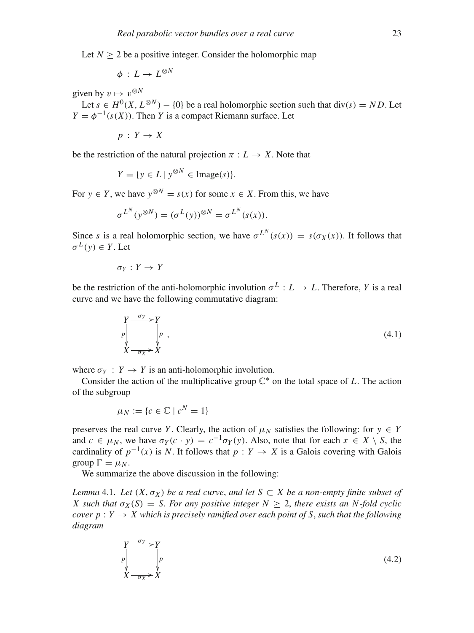Let  $N > 2$  be a positive integer. Consider the holomorphic map

$$
\phi\,:\,L\rightarrow L^{\otimes N}
$$

given by  $v \mapsto v^{\otimes N}$ 

Let  $s \in H^0(X, L^{\otimes N}) - \{0\}$  be a real holomorphic section such that div(s) = ND. Let  $Y = \phi^{-1}(s(X))$ . Then *Y* is a compact Riemann surface. Let

 $p: Y \rightarrow X$ 

be the restriction of the natural projection  $\pi : L \to X$ . Note that

$$
Y = \{ y \in L \mid y^{\otimes N} \in \text{Image}(s) \}.
$$

For  $y \in Y$ , we have  $y^{\otimes N} = s(x)$  for some  $x \in X$ . From this, we have

$$
\sigma^{L^N}(y^{\otimes N}) = (\sigma^L(y))^{\otimes N} = \sigma^{L^N}(s(x)).
$$

Since *s* is a real holomorphic section, we have  $\sigma^{L^N}(s(x)) = s(\sigma_X(x))$ . It follows that  $\sigma^L(v) \in Y$ . Let

$$
\sigma_Y: Y \to Y
$$

be the restriction of the anti-holomorphic involution  $\sigma^L : L \to L$ . Therefore, *Y* is a real curve and we have the following commutative diagram:

$$
\begin{array}{ccc}\nY & \xrightarrow{\sigma_Y} & Y \\
p & \downarrow \\
X & \xrightarrow{\sigma_X} & X\n\end{array}\n\tag{4.1}
$$

where  $\sigma_Y$ :  $Y \to Y$  is an anti-holomorphic involution.

Consider the action of the multiplicative group  $\mathbb{C}^*$  on the total space of *L*. The action of the subgroup

$$
\mu_N := \{c \in \mathbb{C} \mid c^N = 1\}
$$

preserves the real curve *Y*. Clearly, the action of  $\mu_N$  satisfies the following: for  $y \in Y$ and  $c \in \mu_N$ , we have  $\sigma_Y(c \cdot y) = c^{-1} \sigma_Y(y)$ . Also, note that for each  $x \in X \setminus S$ , the cardinality of  $p^{-1}(x)$  is *N*. It follows that  $p: Y \to X$  is a Galois covering with Galois group  $\Gamma = \mu_N$ .

We summarize the above discussion in the following:

*Lemma* 4.1. *Let*  $(X, \sigma_X)$  *be a real curve, and let*  $S \subset X$  *be a non-empty finite subset of X* such that  $\sigma_X(S) = S$ . For any positive integer  $N > 2$ , there exists an N-fold cyclic *cover p* :  $Y \rightarrow X$  which is precisely ramified over each point of S, such that the following *diagram*

$$
\begin{array}{ccc}\nY & \xrightarrow{\sigma_Y} & Y \\
p & \downarrow \\
X & \xrightarrow{\sigma_X} & X\n\end{array}\n\tag{4.2}
$$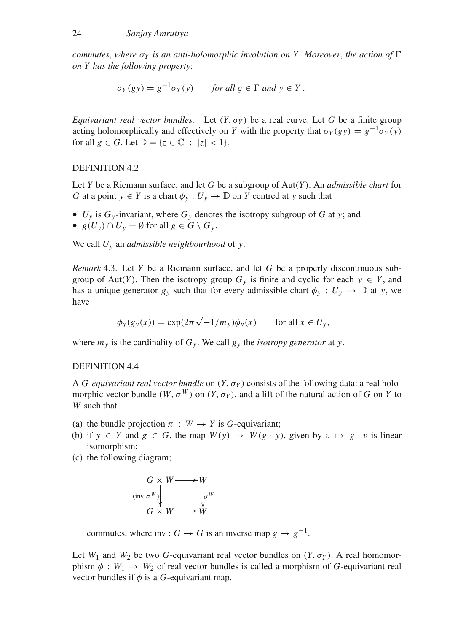*commutes, where*  $\sigma_Y$  *is an anti-holomorphic involution on Y. Moreover, the action of*  $\Gamma$ *on Y has the following property*:

$$
\sigma_Y(gy) = g^{-1}\sigma_Y(y) \quad \text{for all } g \in \Gamma \text{ and } y \in Y.
$$

*Equivariant real vector bundles.* Let  $(Y, \sigma_Y)$  be a real curve. Let G be a finite group acting holomorphically and effectively on *Y* with the property that  $\sigma_Y(gy) = g^{-1}\sigma_Y(y)$ for all  $g \in G$ . Let  $\mathbb{D} = \{z \in \mathbb{C} : |z| < 1\}.$ 

DEFINITION 4.2

Let *Y* be a Riemann surface, and let *G* be a subgroup of Aut(*Y* ). An *admissible chart* for *G* at a point  $y \in Y$  is a chart  $\phi_y : U_y \to \mathbb{D}$  on *Y* centred at *y* such that

- $U_y$  is  $G_y$ -invariant, where  $G_y$  denotes the isotropy subgroup of  $G$  at  $y$ ; and
- $g(U_v) \cap U_v = \emptyset$  for all  $g \in G \setminus G_v$ .

We call *Uy* an *admissible neighbourhood* of *y*.

*Remark* 4.3. Let *Y* be a Riemann surface, and let *G* be a properly discontinuous subgroup of Aut(*Y*). Then the isotropy group  $G_y$  is finite and cyclic for each  $y \in Y$ , and has a unique generator  $g_y$  such that for every admissible chart  $\phi_y : U_y \to \mathbb{D}$  at *y*, we have

$$
\phi_y(g_y(x)) = \exp(2\pi\sqrt{-1}/m_y)\phi_y(x) \quad \text{for all } x \in U_y,
$$

where  $m<sub>y</sub>$  is the cardinality of  $G<sub>y</sub>$ . We call  $g<sub>y</sub>$  the *isotropy generator* at *y*.

# DEFINITION 4.4

A *G*-equivariant real vector bundle on  $(Y, \sigma_Y)$  consists of the following data: a real holomorphic vector bundle  $(W, \sigma^W)$  on  $(Y, \sigma_Y)$ , and a lift of the natural action of *G* on *Y* to *W* such that

- (a) the bundle projection  $\pi : W \to Y$  is *G*-equivariant;
- (b) if  $y \in Y$  and  $g \in G$ , the map  $W(y) \to W(g \cdot y)$ , given by  $v \mapsto g \cdot v$  is linear isomorphism;
- (c) the following diagram;



commutes, where inv :  $G \rightarrow G$  is an inverse map  $g \mapsto g^{-1}$ .

Let  $W_1$  and  $W_2$  be two *G*-equivariant real vector bundles on  $(Y, \sigma_Y)$ . A real homomorphism  $\phi : W_1 \to W_2$  of real vector bundles is called a morphism of *G*-equivariant real vector bundles if  $\phi$  is a *G*-equivariant map.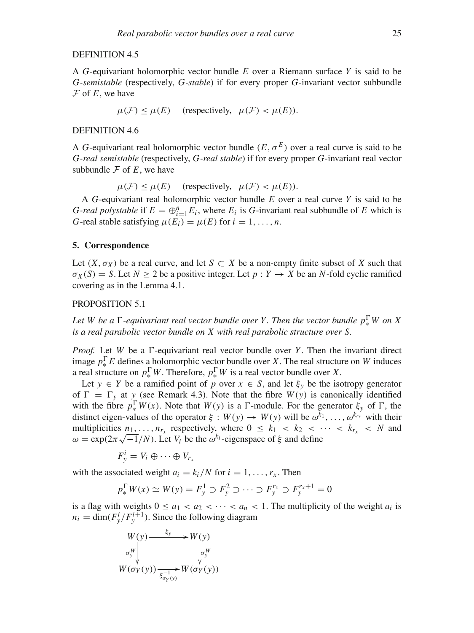# DEFINITION 4.5

A *G*-equivariant holomorphic vector bundle *E* over a Riemann surface *Y* is said to be *G-semistable* (respectively, *G-stable*) if for every proper *G*-invariant vector subbundle  $F$  of  $E$ , we have

$$
\mu(\mathcal{F}) \le \mu(E)
$$
 (respectively,  $\mu(\mathcal{F}) < \mu(E)$ ).

#### DEFINITION 4.6

A *G*-equivariant real holomorphic vector bundle  $(E, \sigma^E)$  over a real curve is said to be *G-real semistable* (respectively, *G-real stable*) if for every proper *G*-invariant real vector subbundle  $\mathcal F$  of  $E$ , we have

 $\mu(\mathcal{F}) \leq \mu(E)$  (respectively,  $\mu(\mathcal{F}) \leq \mu(E)$ ).

A *G*-equivariant real holomorphic vector bundle *E* over a real curve *Y* is said to be *G-real polystable* if  $E = \bigoplus_{i=1}^{n} E_i$ , where  $E_i$  is *G*-invariant real subbundle of *E* which is *G*-real stable satisfying  $\mu(E_i) = \mu(E)$  for  $i = 1, \ldots, n$ .

# <span id="page-8-0"></span>**5. Correspondence**

Let  $(X, \sigma_X)$  be a real curve, and let  $S \subset X$  be a non-empty finite subset of X such that  $\sigma_X(S) = S$ . Let  $N \geq 2$  be a positive integer. Let  $p: Y \to X$  be an *N*-fold cyclic ramified covering as in the Lemma 4.1.

# PROPOSITION 5.1

*Let W* be a  $\Gamma$ -equivariant real vector bundle over *Y*. Then the vector bundle  $p_*^{\Gamma}W$  on X *is a real parabolic vector bundle on X with real parabolic structure over S.*

*Proof.* Let *W* be a  $\Gamma$ -equivariant real vector bundle over *Y*. Then the invariant direct image  $p_*^{\Gamma}E$  defines a holomorphic vector bundle over *X*. The real structure on *W* induces a real structure on  $p_*^{\Gamma}W$ . Therefore,  $p_*^{\Gamma}W$  is a real vector bundle over *X*.

Let  $y \in Y$  be a ramified point of *p* over  $x \in S$ , and let  $\xi_y$  be the isotropy generator of  $\Gamma = \Gamma_y$  at *y* (see Remark 4.3). Note that the fibre  $W(y)$  is canonically identified with the fibre  $p_*^{\Gamma} W(x)$ . Note that  $W(y)$  is a  $\Gamma$ -module. For the generator  $\xi_y$  of  $\Gamma$ , the distinct eigen-values of the operator  $\xi : W(y) \to W(y)$  will be  $\omega^{k_1}, \ldots, \omega^{k_{r_x}}$  with their multiplicities  $n_1, \ldots, n_{r_x}$  respectively, where  $0 \leq k_1 < k_2 < \cdots < k_{r_x} < N$  and  $\omega = \exp(2\pi\sqrt{-1}/N)$ . Let *V<sub>i</sub>* be the  $\omega^{k_i}$ -eigenspace of  $\xi$  and define

$$
F_y^i = V_i \oplus \cdots \oplus V_{r_x}
$$

with the associated weight  $a_i = k_i/N$  for  $i = 1, \ldots, r_x$ . Then

$$
p_*^{\Gamma} W(x) \simeq W(y) = F_y^1 \supset F_y^2 \supset \cdots \supset F_y^{r_x} \supset F_y^{r_x+1} = 0
$$

is a flag with weights  $0 \le a_1 < a_2 < \cdots < a_n < 1$ . The multiplicity of the weight  $a_i$  is  $n_i = \dim(F_y^i/F_y^{i+1})$ . Since the following diagram

$$
W(y) \longrightarrow {\xi_y} W(y)
$$
  
\n
$$
\sigma_y^W \downarrow \qquad \qquad \downarrow \sigma_y^W
$$
  
\n
$$
W(\sigma_Y(y)) \longrightarrow {\xi_{\sigma_Y(y)}} W(\sigma_Y(y))
$$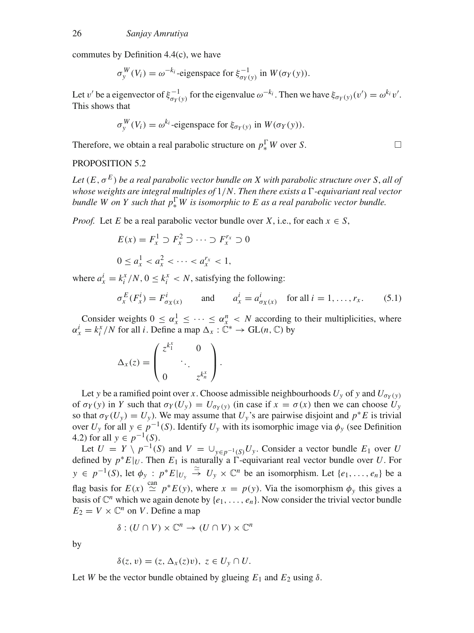commutes by Definition 4.4(c), we have

$$
\sigma_y^W(V_i) = \omega^{-k_i} \text{-eigenspace for } \xi_{\sigma_Y(y)}^{-1} \text{ in } W(\sigma_Y(y)).
$$

Let v' be a eigenvector of  $\xi_{\sigma_Y(y)}^{-1}$  for the eigenvalue  $\omega^{-k_i}$ . Then we have  $\xi_{\sigma_Y(y)}(v') = \omega^{k_i} v'$ . This shows that

$$
\sigma_{y}^{W}(V_{i}) = \omega^{k_{i}}\text{-eigenspace for }\xi_{\sigma_{Y}(y)} \text{ in } W(\sigma_{Y}(y)).
$$

Therefore, we obtain a real parabolic structure on  $p_*^{\Gamma} W$  over *S*.

#### PROPOSITION 5.2

Let  $(E, \sigma^E)$  be a real parabolic vector bundle on X with parabolic structure over S, all of whose weights are integral multiples of  $1/N$ . Then there exists a  $\Gamma$ -equivariant real vector *bundle W* on *Y* such that  $p_*^{\Gamma}W$  is isomorphic to *E* as a real parabolic vector bundle.

*Proof.* Let *E* be a real parabolic vector bundle over *X*, i.e., for each  $x \in S$ ,

$$
E(x) = F_x^1 \supset F_x^2 \supset \cdots \supset F_x^{r_x} \supset 0
$$
  

$$
0 \le a_x^1 < a_x^2 < \cdots < a_x^{r_x} < 1,
$$

where  $a_x^i = k_i^x/N$ ,  $0 \le k_i^x < N$ , satisfying the following:

<span id="page-9-0"></span>
$$
\sigma_x^E(F_x^i) = F_{\sigma_X(x)}^i \qquad \text{and} \qquad a_x^i = a_{\sigma_X(x)}^i \quad \text{for all } i = 1, \dots, r_x. \tag{5.1}
$$

Consider weights  $0 \le \alpha_x^1 \le \cdots \le \alpha_x^n < N$  according to their multiplicities, where  $\alpha_x^i = k_i^x / N$  for all *i*. Define a map  $\Delta_x : \mathbb{C}^* \to \text{GL}(n, \mathbb{C})$  by

$$
\Delta_x(z) = \begin{pmatrix} z^{k_1^x} & 0 \\ & \ddots & \\ 0 & z^{k_n^x} \end{pmatrix}.
$$

Let *y* be a ramified point over *x*. Choose admissible neighbourhoods  $U_y$  of *y* and  $U_{\sigma_y(y)}$ of  $\sigma_Y(y)$  in *Y* such that  $\sigma_Y(U_y) = U_{\sigma_Y(y)}$  (in case if  $x = \sigma(x)$ ) then we can choose  $U_y$ so that  $\sigma_Y(U_y) = U_y$ ). We may assume that  $U_y$ 's are pairwise disjoint and  $p^*E$  is trivial over  $U_y$  for all  $y \in p^{-1}(S)$ . Identify  $U_y$  with its isomorphic image via  $\phi_y$  (see Definition 4.2) for all  $y \in p^{-1}(S)$ .

Let  $U = Y \setminus p^{-1}(S)$  and  $V = \bigcup_{v \in p^{-1}(S)} U_y$ . Consider a vector bundle  $E_1$  over  $U$ defined by  $p * E|_U$ . Then  $E_1$  is naturally a  $\Gamma$ -equivariant real vector bundle over *U*. For *y* ∈  $p^{-1}(S)$ , let  $\phi_y$  :  $p^*E|_{U_y}$   $\stackrel{\sim}{\to}$   $U_y \times \mathbb{C}^n$  be an isomorphism. Let  $\{e_1, \ldots, e_n\}$  be a flag basis for  $E(x) \stackrel{\text{can}}{\simeq} p^*E(y)$ , where  $x = p(y)$ . Via the isomorphism  $\phi_y$  this gives a basis of  $\mathbb{C}^n$  which we again denote by  $\{e_1, \ldots, e_n\}$ . Now consider the trivial vector bundle  $E_2 = V \times \mathbb{C}^n$  on *V*. Define a map

$$
\delta : (U \cap V) \times \mathbb{C}^n \to (U \cap V) \times \mathbb{C}^n
$$

by

$$
\delta(z,v)=(z,\Delta_x(z)v),\ z\in U_y\cap U.
$$

Let *W* be the vector bundle obtained by glueing  $E_1$  and  $E_2$  using  $\delta$ .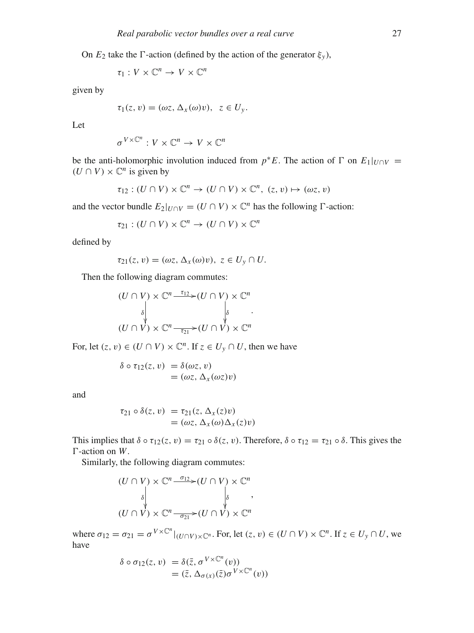On  $E_2$  take the  $\Gamma$ -action (defined by the action of the generator  $\xi_y$ ),

$$
\tau_1: V \times \mathbb{C}^n \to V \times \mathbb{C}^n
$$

given by

$$
\tau_1(z,v)=(\omega z,\,\Delta_x(\omega)v),\;\;z\in U_y.
$$

Let

$$
\sigma^{V \times \mathbb{C}^n}: V \times \mathbb{C}^n \to V \times \mathbb{C}^n
$$

be the anti-holomorphic involution induced from  $p * E$ . The action of  $\Gamma$  on  $E_1|_{U \cap V}$  =  $(U \cap V) \times \mathbb{C}^n$  is given by

$$
\tau_{12} : (U \cap V) \times \mathbb{C}^n \to (U \cap V) \times \mathbb{C}^n, (z, v) \mapsto (\omega z, v)
$$

and the vector bundle  $E_2|_{U \cap V} = (U \cap V) \times \mathbb{C}^n$  has the following  $\Gamma$ -action:

$$
\tau_{21} : (U \cap V) \times \mathbb{C}^n \to (U \cap V) \times \mathbb{C}^n
$$

defined by

$$
\tau_{21}(z,\,v)=(\omega z,\,\Delta_x(\omega)v),\,\,z\in U_y\cap U.
$$

Then the following diagram commutes:

$$
(U \cap V) \times \mathbb{C}^n \xrightarrow{\tau_1} (U \cap V) \times \mathbb{C}^n
$$
  

$$
\downarrow \qquad \qquad \downarrow \qquad \qquad \downarrow \qquad \downarrow
$$
  

$$
(U \cap V) \times \mathbb{C}^n \xrightarrow{\tau_2} (U \cap V) \times \mathbb{C}^n
$$

For, let  $(z, v) \in (U \cap V) \times \mathbb{C}^n$ . If  $z \in U_y \cap U$ , then we have

$$
\delta \circ \tau_{12}(z, v) = \delta(\omega z, v)
$$
  
= (\omega z, \Delta\_x(\omega z)v)

and

$$
\tau_{21} \circ \delta(z, v) = \tau_{21}(z, \Delta_x(z)v)
$$
  
= (\omega z, \Delta\_x(\omega) \Delta\_x(z)v)

This implies that  $\delta \circ \tau_{12}(z,v) = \tau_{21} \circ \delta(z,v)$ . Therefore,  $\delta \circ \tau_{12} = \tau_{21} \circ \delta$ . This gives the -action on *W*.

Similarly, the following diagram commutes:

$$
(U \cap V) \times \mathbb{C}^n \xrightarrow{\sigma_{12}} (U \cap V) \times \mathbb{C}^n
$$
  

$$
\downarrow \qquad \qquad \downarrow \qquad \qquad \downarrow \qquad \qquad \downarrow
$$
  

$$
(U \cap V) \times \mathbb{C}^n \xrightarrow{\sigma_{21}} (U \cap V) \times \mathbb{C}^n
$$

where  $\sigma_{12} = \sigma_{21} = \sigma^{V \times \mathbb{C}^n} |_{(U \cap V) \times \mathbb{C}^n}$ . For, let  $(z, v) \in (U \cap V) \times \mathbb{C}^n$ . If  $z \in U_y \cap U$ , we have

$$
\delta \circ \sigma_{12}(z, v) = \delta(\bar{z}, \sigma^{V \times \mathbb{C}^n}(v))
$$
  
=  $(\bar{z}, \Delta_{\sigma(x)}(\bar{z})\sigma^{V \times \mathbb{C}^n}(v))$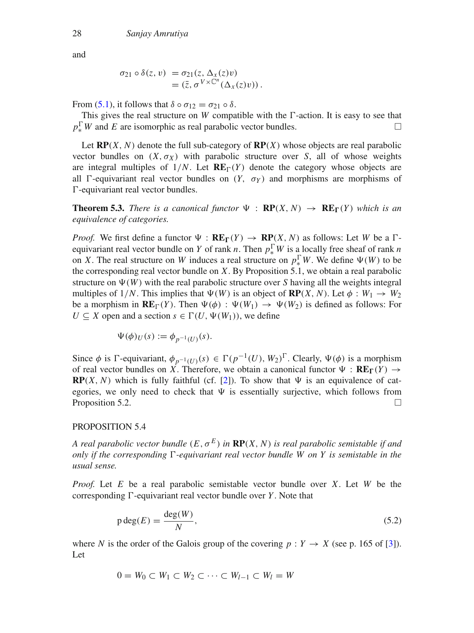and

$$
\sigma_{21} \circ \delta(z, v) = \sigma_{21}(z, \Delta_x(z)v)
$$
  
=  $(\overline{z}, \sigma^{V \times \mathbb{C}^n}(\Delta_x(z)v)).$ 

From [\(5.1\)](#page-9-0), it follows that  $\delta \circ \sigma_{12} = \sigma_{21} \circ \delta$ .

This gives the real structure on *W* compatible with the  $\Gamma$ -action. It is easy to see that  $p_*^{\Gamma}$ W and *E* are isomorphic as real parabolic vector bundles.

Let  $RP(X, N)$  denote the full sub-category of  $RP(X)$  whose objects are real parabolic vector bundles on  $(X, \sigma_X)$  with parabolic structure over *S*, all of whose weights are integral multiples of  $1/N$ . Let  $RE_{\Gamma}(Y)$  denote the category whose objects are all  $\Gamma$ -equivariant real vector bundles on  $(Y, \sigma_Y)$  and morphisms are morphisms of  $\Gamma$ -equivariant real vector bundles.

**Theorem 5.3.** *There is a canonical functor*  $\Psi$  :  $\mathbf{RP}(X, N) \rightarrow \mathbf{RE}_{\Gamma}(Y)$  *which is an equivalence of categories.*

*Proof.* We first define a functor  $\Psi$  :  $\mathbf{RE}_{\Gamma}(Y) \to \mathbf{RP}(X, N)$  as follows: Let *W* be a  $\Gamma$ equivariant real vector bundle on *Y* of rank *n*. Then  $p_*^{\Gamma}W$  is a locally free sheaf of rank *n* on *X*. The real structure on *W* induces a real structure on  $p_*^{\Gamma}W$ . We define  $\Psi(W)$  to be the corresponding real vector bundle on *X*. By Proposition 5.1, we obtain a real parabolic structure on  $\Psi(W)$  with the real parabolic structure over *S* having all the weights integral multiples of  $1/N$ . This implies that  $\Psi(W)$  is an object of **RP**(*X*, *N*). Let  $\phi : W_1 \to W_2$ be a morphism in  $\mathbf{RE}_{\Gamma}(Y)$ . Then  $\Psi(\phi) : \Psi(W_1) \to \Psi(W_2)$  is defined as follows: For *U* ⊂ *X* open and a section *s* ∈  $\Gamma$ (*U*,  $\Psi$ (*W*<sub>1</sub>)), we define

$$
\Psi(\phi)_U(s) := \phi_{p^{-1}(U)}(s).
$$

Since  $\phi$  is  $\Gamma$ -equivariant,  $\phi_{p^{-1}(U)}(s) \in \Gamma(p^{-1}(U), W_2)^\Gamma$ . Clearly,  $\Psi(\phi)$  is a morphism of real vector bundles on *X*. Therefore, we obtain a canonical functor  $\Psi : \mathbf{RE}_{\Gamma}(Y) \to$ **RP**(*X*, *N*) which is fully faithful (cf. [\[2](#page-12-0)]). To show that  $\Psi$  is an equivalence of categories, we only need to check that  $\Psi$  is essentially surjective, which follows from Proposition 5.2.  $\Box$ 

### PROPOSITION 5.4

*A real parabolic vector bundle*  $(E, \sigma^E)$  *in*  $\mathbb{RP}(X, N)$  *is real parabolic semistable if and only if the corresponding -equivariant real vector bundle W on Y is semistable in the usual sense.*

*Proof.* Let *E* be a real parabolic semistable vector bundle over *X*. Let *W* be the corresponding  $\Gamma$ -equivariant real vector bundle over *Y*. Note that

<span id="page-11-0"></span>
$$
p \deg(E) = \frac{\deg(W)}{N},\tag{5.2}
$$

where *N* is the order of the Galois group of the covering  $p : Y \to X$  (see p. 165 of [\[3](#page-13-2)]). Let

$$
0=W_0\subset W_1\subset W_2\subset\cdots\subset W_{l-1}\subset W_l=W
$$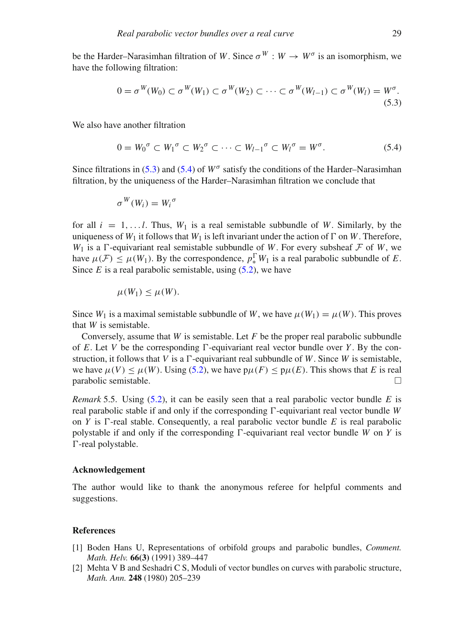be the Harder–Narasimhan filtration of *W*. Since  $\sigma^{W}$  :  $W \to W^{\sigma}$  is an isomorphism, we have the following filtration:

<span id="page-12-2"></span>
$$
0 = \sigma^W(W_0) \subset \sigma^W(W_1) \subset \sigma^W(W_2) \subset \cdots \subset \sigma^W(W_{l-1}) \subset \sigma^W(W_l) = W^{\sigma}.
$$
\n(5.3)

We also have another filtration

<span id="page-12-3"></span>
$$
0 = W_0^{\sigma} \subset W_1^{\sigma} \subset W_2^{\sigma} \subset \cdots \subset W_{l-1}^{\sigma} \subset W_l^{\sigma} = W^{\sigma}.
$$
 (5.4)

Since filtrations in [\(5.3\)](#page-12-2) and [\(5.4\)](#page-12-3) of  $W^{\sigma}$  satisfy the conditions of the Harder–Narasimhan filtration, by the uniqueness of the Harder–Narasimhan filtration we conclude that

$$
\sigma^W(W_i)=W_i^{\,\sigma}
$$

for all  $i = 1, \ldots, l$ . Thus,  $W_1$  is a real semistable subbundle of W. Similarly, by the uniqueness of  $W_1$  it follows that  $W_1$  is left invariant under the action of  $\Gamma$  on W. Therefore,  $W_1$  is a  $\Gamma$ -equivariant real semistable subbundle of *W*. For every subsheaf  $\mathcal F$  of *W*, we have  $\mu(\mathcal{F}) \leq \mu(W_1)$ . By the correspondence,  $p_*^{\Gamma} W_1$  is a real parabolic subbundle of *E*. Since  $E$  is a real parabolic semistable, using  $(5.2)$ , we have

$$
\mu(W_1) \leq \mu(W).
$$

Since  $W_1$  is a maximal semistable subbundle of W, we have  $\mu(W_1) = \mu(W)$ . This proves that *W* is semistable.

Conversely, assume that *W* is semistable. Let *F* be the proper real parabolic subbundle of *E*. Let *V* be the corresponding  $\Gamma$ -equivariant real vector bundle over *Y*. By the construction, it follows that *V* is a  $\Gamma$ -equivariant real subbundle of *W*. Since *W* is semistable, we have  $\mu(V) \leq \mu(W)$ . Using [\(5.2\)](#page-11-0), we have  $p\mu(F) \leq p\mu(E)$ . This shows that *E* is real parabolic semistable.  $\Box$ 

*Remark* 5.5. Using [\(5.2\)](#page-11-0), it can be easily seen that a real parabolic vector bundle *E* is real parabolic stable if and only if the corresponding  $\Gamma$ -equivariant real vector bundle *W* on *Y* is  $\Gamma$ -real stable. Consequently, a real parabolic vector bundle *E* is real parabolic polystable if and only if the corresponding  $\Gamma$ -equivariant real vector bundle *W* on *Y* is -real polystable.

#### **Acknowledgement**

The author would like to thank the anonymous referee for helpful comments and suggestions.

#### **References**

- <span id="page-12-1"></span>[1] Boden Hans U, Representations of orbifold groups and parabolic bundles, *Comment. Math. Helv.* **66(3)** (1991) 389–447
- <span id="page-12-0"></span>[2] Mehta V B and Seshadri C S, Moduli of vector bundles on curves with parabolic structure, *Math. Ann.* **248** (1980) 205–239